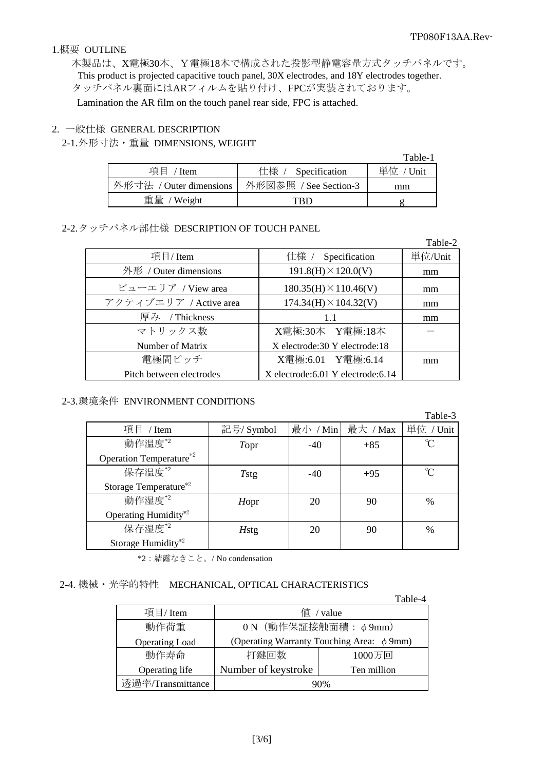### 1.概要 OUTLINE

本製品は、X電極30本、Y電極18本で構成された投影型静電容量方式タッチパネルです。 This product is projected capacitive touch panel, 30X electrodes, and 18Y electrodes together. タッチパネル裏面にはARフィルムを貼り付け、FPCが実装されております。 Lamination the AR film on the touch panel rear side, FPC is attached.

### 2. 一般仕様 GENERAL DESCRIPTION

### 2-1. 外形寸法・重量 DIMENSIONS, WEIGHT

|                         |                       | Table-1   |
|-------------------------|-----------------------|-----------|
| 項目 / Item               | 仕様 / Specification    | 単位 / Unit |
| 外形寸法 / Outer dimensions | 外形図参照 / See Section-3 | mm        |
| 重量 / Weight             | TRD                   |           |

# 2-2. タッチパネル部仕様 DESCRIPTION OF TOUCH PANEL

|                          |                                     | Table-2 |
|--------------------------|-------------------------------------|---------|
| 項目/Item                  | 仕様 /<br>Specification               | 単位/Unit |
| 外形 / Outer dimensions    | $191.8(H) \times 120.0(V)$          | mm      |
| ビューエリア / View area       | $180.35(H) \times 110.46(V)$        | mm      |
| アクティブエリア / Active area   | $174.34(H) \times 104.32(V)$        | mm      |
| 厚み / Thickness           | 11                                  | mm      |
| マトリックス数                  | X電極:30本 Y電極:18本                     |         |
| Number of Matrix         | X electrode: 30 Y electrode: 18     |         |
| 電極間ピッチ                   | X電極:6.01 Y電極:6.14                   | mm      |
| Pitch between electrodes | X electrode: 6.01 Y electrode: 6.14 |         |

### 2-3. 環境条件 ENVIRONMENT CONDITIONS

|                                  |              |          |          | Table-3       |
|----------------------------------|--------------|----------|----------|---------------|
| 項目 / Item                        | 記号/ Symbol   | 最小 / Min | 最大 / Max | 単位 / Unit     |
| 動作温度 <sup>*2</sup>               | Topr         | $-40$    | $+85$    | °C            |
| Operation Temperature*2          |              |          |          |               |
| 保存温度*2                           | Tstg         | $-40$    | $+95$    | n             |
| Storage Temperature*2            |              |          |          |               |
| 動作湿度*2                           | Hopr         | 20       | 90       | $\frac{0}{0}$ |
| Operating Humidity <sup>*2</sup> |              |          |          |               |
| 保存湿度*2                           | <b>H</b> stg | 20       | 90       | $\%$          |
| Storage Humidity <sup>*2</sup>   |              |          |          |               |

\*2:結露なきこと。/ No condensation

## 2-4. 機械・光学的特性 MECHANICAL, OPTICAL CHARACTERISTICS

|                       |                                                | Table-4     |  |
|-----------------------|------------------------------------------------|-------------|--|
| 項目/Item               | $f$ / value                                    |             |  |
| 動作荷重                  | 0 N (動作保証接触面積: φ9mm)                           |             |  |
| <b>Operating Load</b> | (Operating Warranty Touching Area: $\phi$ 9mm) |             |  |
| 動作寿命                  | 打鍵回数                                           | 1000万回      |  |
| Operating life        | Number of keystroke                            | Ten million |  |
| 透過率/Transmittance     | 90%                                            |             |  |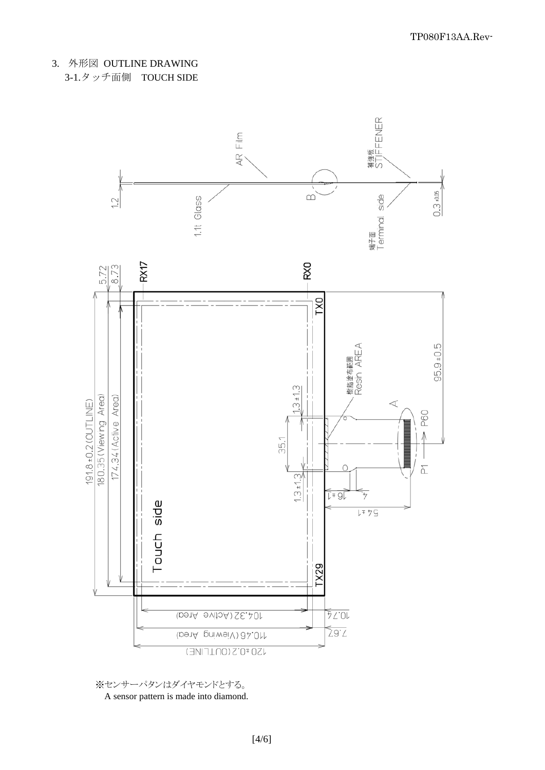3. 外形図 OUTLINE DRAWING 3-1.タッチ面側 TOUCH SIDE



※センサーパタンはダイヤモンドとする。 A sensor pattern is made into diamond.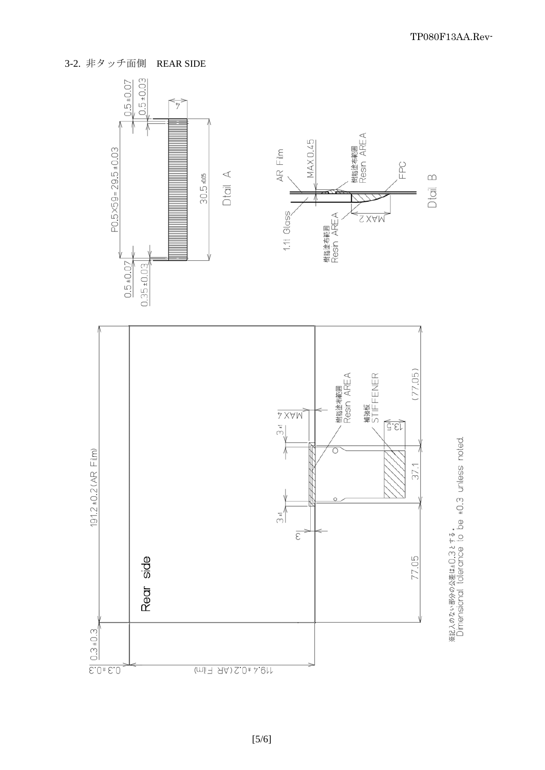3-2. 非タッチ面側 REAR SIDE



※記入のない部分の公差は±0.3とする。<br>Dimensional tolerance to be ±0.3 unless noted.